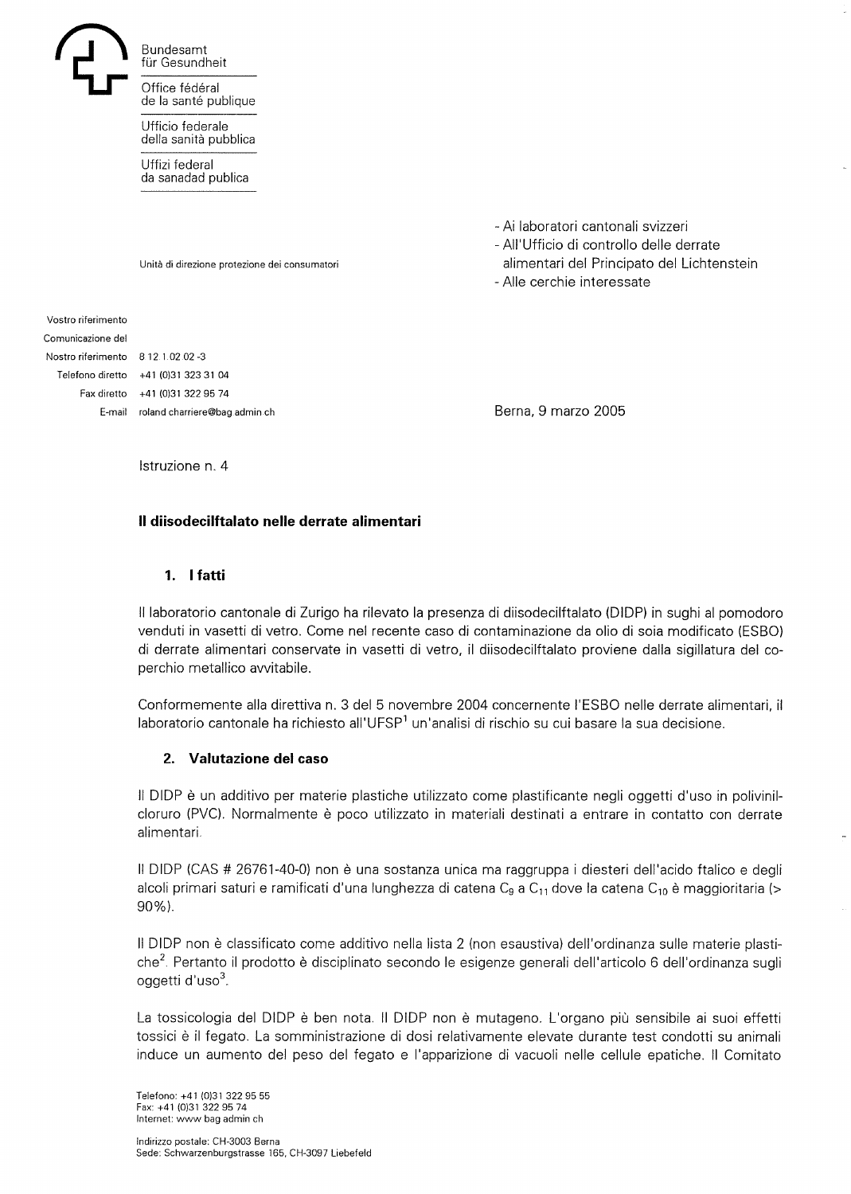

de la santé publique

Ufficio federale della sanità pubblica

Uffizi federal da sanadad publica

- Ai laboratori cantonali svizzeri

- All'Ufficio di controllo delle derrate alimentari del Principato del Lichtenstein

- Alle cerchie interessate

Unità di direzione protezione dei consumatori

Vostro riferimento Comunicazione del Nostro riferimento 8.12.1.02.02-3 Telefono diretto +41 (0)31 323 31 04 Fax diretto +41 (0)31 322 95 74 E-mail roland charriere@bag.admin.ch

Berna, 9 marzo 2005

Istruzione n. 4

#### Il diisodecilftalato nelle derrate alimentari

#### 1. Ifatti

Il laboratorio cantonale di Zurigo ha rilevato la presenza di diisodecilftalato (DIDP) in sughi al pomodoro venduti in vasetti di vetro. Come nel recente caso di contaminazione da olio di soia modificato (ESBO) di derrate alimentari conservate in vasetti di vetro, il diisodecilftalato proviene dalla sigillatura del coperchio metallico avvitabile.

Conformemente alla direttiva n. 3 del 5 novembre 2004 concernente l'ESBO nelle derrate alimentari, il laboratorio cantonale ha richiesto all'UFSP<sup>1</sup> un'analisi di rischio su cui basare la sua decisione.

#### 2. Valutazione del caso

Il DIDP è un additivo per materie plastiche utilizzato come plastificante negli oggetti d'uso in polivinilcloruro (PVC). Normalmente è poco utilizzato in materiali destinati a entrare in contatto con derrate alimentari.

Il DIDP (CAS # 26761-40-0) non è una sostanza unica ma raggruppa i diesteri dell'acido ftalico e degli alcoli primari saturi e ramificati d'una lunghezza di catena C<sub>9</sub> a C<sub>11</sub> dove la catena C<sub>10</sub> è maggioritaria (>  $90\%$ ).

Il DIDP non è classificato come additivo nella lista 2 (non esaustiva) dell'ordinanza sulle materie plastiche<sup>2</sup>. Pertanto il prodotto è disciplinato secondo le esigenze generali dell'articolo 6 dell'ordinanza sugli oggetti d'uso<sup>3</sup>.

La tossicologia del DIDP è ben nota. Il DIDP non è mutageno. L'organo più sensibile ai suoi effetti tossici è il fegato. La somministrazione di dosi relativamente elevate durante test condotti su animali induce un aumento del peso del fegato e l'apparizione di vacuoli nelle cellule epatiche. Il Comitato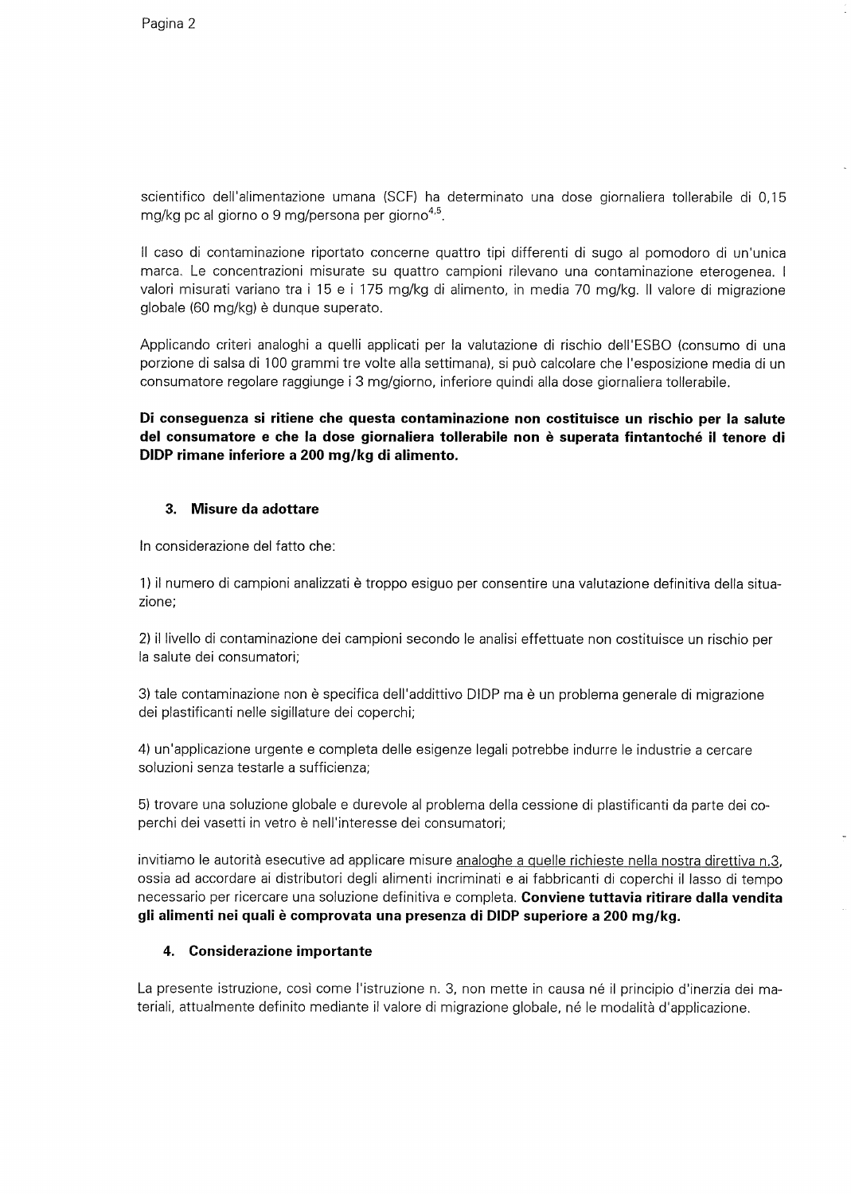scientifico dell'alimentazione umana (SCF) ha determinato una dose giornaliera tollerabile di 0,15 mg/kg pc al giorno o 9 mg/persona per giorno<sup>4,5</sup>.

Il caso di contaminazione riportato concerne quattro tipi differenti di sugo al pomodoro di un'unica marca. Le concentrazioni misurate su quattro campioni rilevano una contaminazione eterogenea. I valori misurati variano tra i 15 e i 175 mg/kg di alimento, in media 70 mg/kg. Il valore di migrazione globale (60 mg/kg) è dunque superato.

Applicando criteri analoghi a quelli applicati per la valutazione di rischio dell'ESBO (consumo di una porzione di salsa di 100 grammi tre volte alla settimana), si può calcolare che l'esposizione media di un consumatore regolare raggiunge i 3 mg/giorno, inferiore quindi alla dose giornaliera tollerabile.

Di conseguenza si ritiene che questa contaminazione non costituisce un rischio per la salute del consumatore e che la dose giornaliera tollerabile non è superata fintantoché il tenore di DIDP rimane inferiore a 200 mg/kg di alimento.

#### 3. Misure da adottare

In considerazione del fatto che:

1) il numero di campioni analizzati è troppo esiguo per consentire una valutazione definitiva della situazione;

2) il livello di contaminazione dei campioni secondo le analisi effettuate non costituisce un rischio per la salute dei consumatori:

3) tale contaminazione non è specifica dell'addittivo DIDP ma è un problema generale di migrazione dei plastificanti nelle sigillature dei coperchi;

4) un'applicazione urgente e completa delle esigenze legali potrebbe indurre le industrie a cercare soluzioni senza testarle a sufficienza;

5) trovare una soluzione globale e durevole al problema della cessione di plastificanti da parte dei coperchi dei vasetti in vetro è nell'interesse dei consumatori;

invitiamo le autorità esecutive ad applicare misure analoghe a quelle richieste nella nostra direttiva n.3, ossia ad accordare ai distributori degli alimenti incriminati e ai fabbricanti di coperchi il lasso di tempo necessario per ricercare una soluzione definitiva e completa. Conviene tuttavia ritirare dalla vendita gli alimenti nei quali è comprovata una presenza di DIDP superiore a 200 mg/kg.

#### 4. Considerazione importante

La presente istruzione, così come l'istruzione n. 3, non mette in causa né il principio d'inerzia dei materiali, attualmente definito mediante il valore di migrazione globale, né le modalità d'applicazione.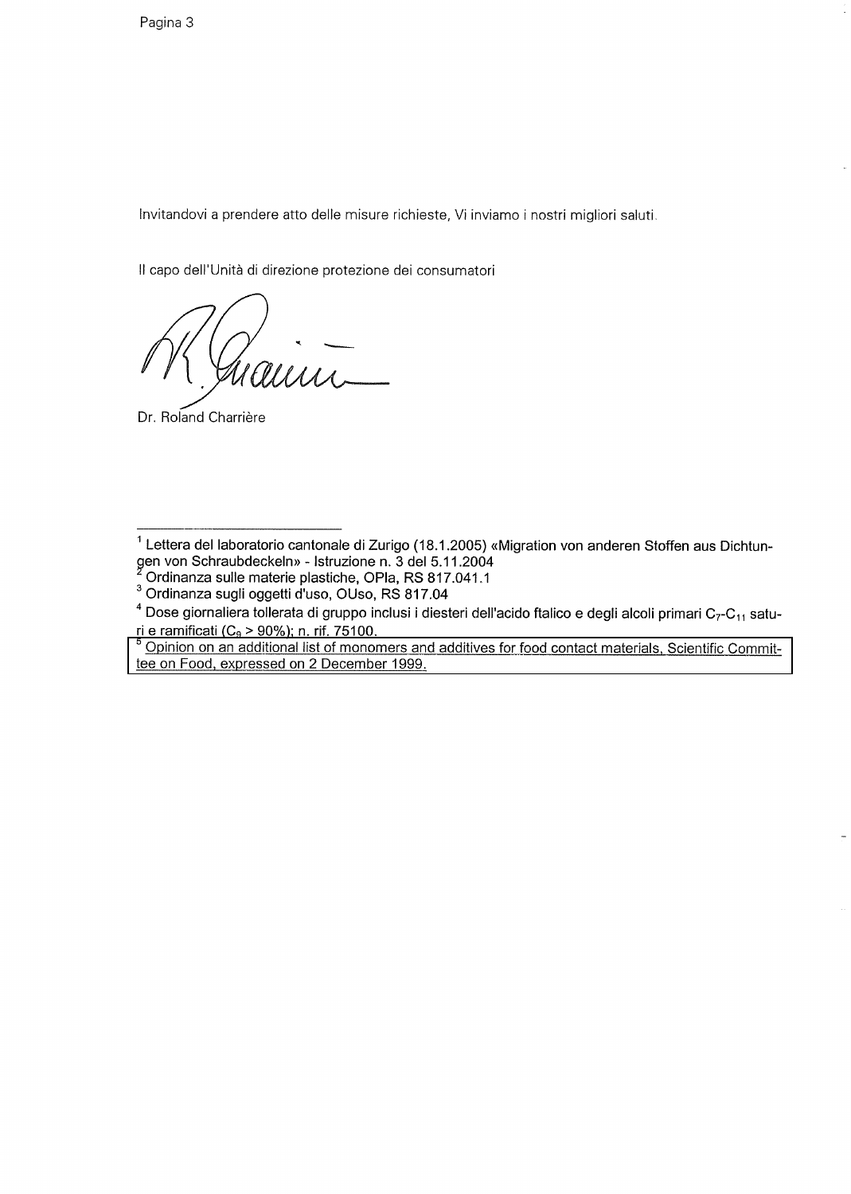Invitandovi a prendere atto delle misure richieste, Vi inviamo i nostri migliori saluti.

Il capo dell'Unità di direzione protezione dei consumatori

mm-

Dr. Roland Charrière

Ordinanza sulle materie plastiche, OPIa, RS 817.041.1

<sup>&</sup>lt;sup>1</sup> Lettera del laboratorio cantonale di Zurigo (18.1.2005) «Migration von anderen Stoffen aus Dichtungen von Schraubdeckeln» - Istruzione n. 3 del 5.11.2004

<sup>&</sup>lt;sup>3</sup> Ordinanza sugli oggetti d'uso, OUso, RS 817.04

<sup>&</sup>lt;sup>4</sup> Dose giornaliera tollerata di gruppo inclusi i diesteri dell'acido ftalico e degli alcoli primari C<sub>7</sub>-C<sub>11</sub> saturi e ramificati (C<sub>9</sub> > 90%); n. rif. 75100.

Opinion on an additional list of monomers and additives for food contact materials, Scientific Committee on Food, expressed on 2 December 1999.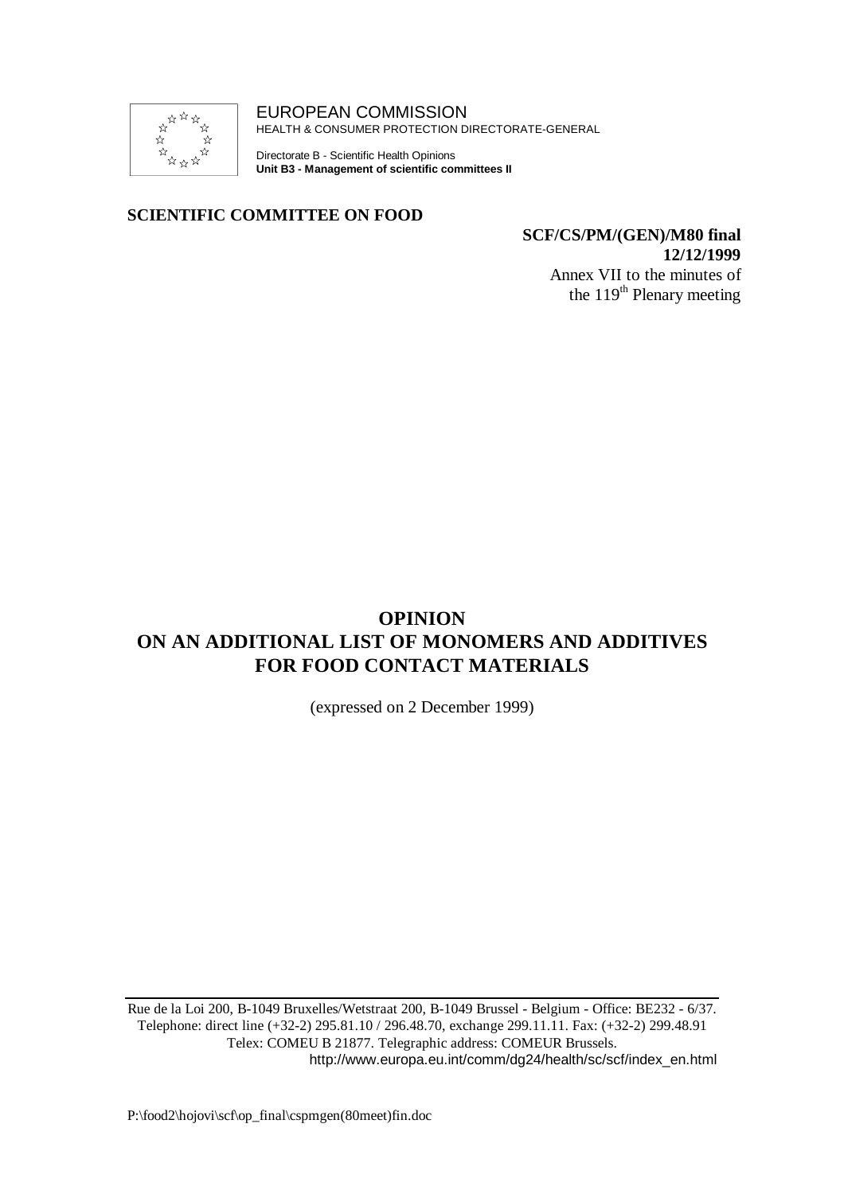

EUROPEAN COMMISSION HEALTH & CONSUMER PROTECTION DIRECTORATE-GENERAL

Directorate B - Scientific Health Opinions **Unit B3 - Management of scientific committees II**

### **SCIENTIFIC COMMITTEE ON FOOD**

**SCF/CS/PM/(GEN)/M80 final 12/12/1999** Annex VII to the minutes of

the  $119<sup>th</sup>$  Plenary meeting

# **OPINION ON AN ADDITIONAL LIST OF MONOMERS AND ADDITIVES FOR FOOD CONTACT MATERIALS**

(expressed on 2 December 1999)

Rue de la Loi 200, B-1049 Bruxelles/Wetstraat 200, B-1049 Brussel - Belgium - Office: BE232 - 6/37. Telephone: direct line (+32-2) 295.81.10 / 296.48.70, exchange 299.11.11. Fax: (+32-2) 299.48.91 Telex: COMEU B 21877. Telegraphic address: COMEUR Brussels. http://www.europa.eu.int/comm/dg24/health/sc/scf/index\_en.html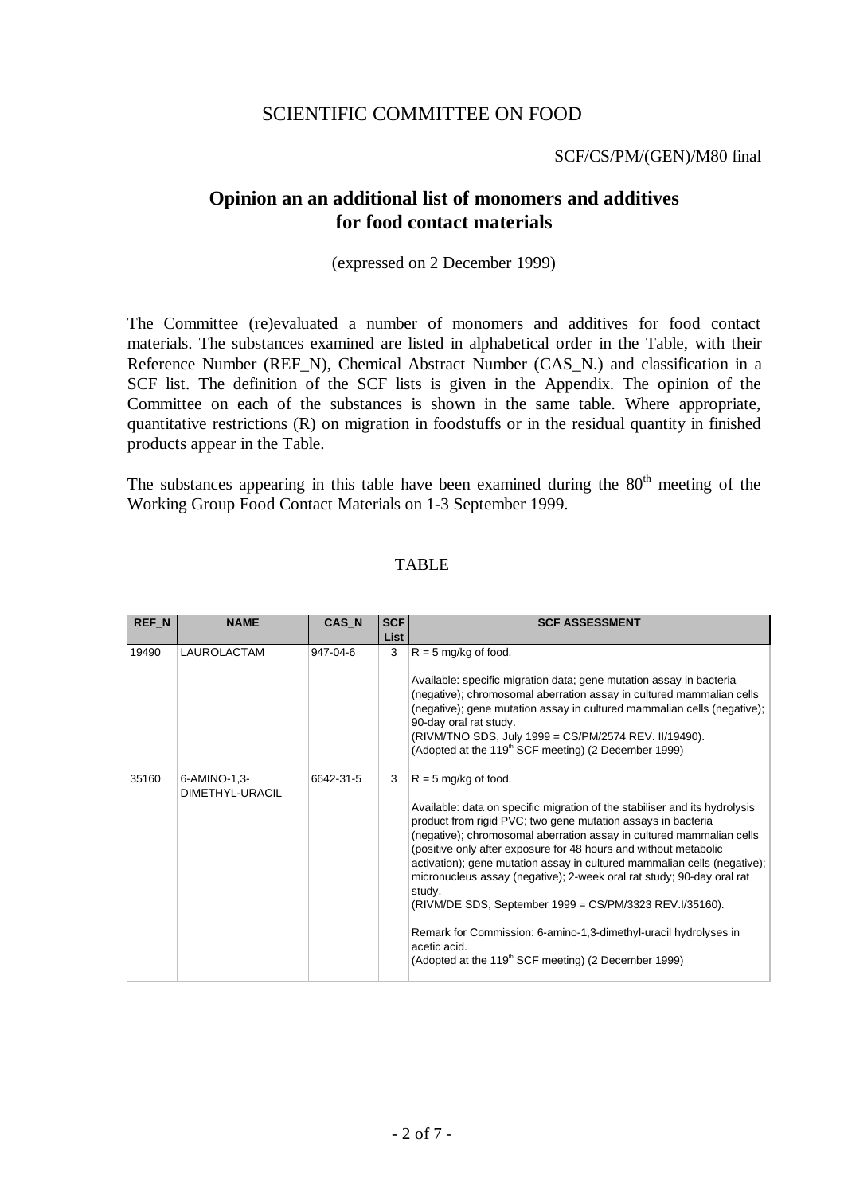# SCIENTIFIC COMMITTEE ON FOOD

### SCF/CS/PM/(GEN)/M80 final

# **Opinion an an additional list of monomers and additives for food contact materials**

(expressed on 2 December 1999)

The Committee (re)evaluated a number of monomers and additives for food contact materials. The substances examined are listed in alphabetical order in the Table, with their Reference Number (REF\_N), Chemical Abstract Number (CAS\_N.) and classification in a SCF list. The definition of the SCF lists is given in the Appendix. The opinion of the Committee on each of the substances is shown in the same table. Where appropriate, quantitative restrictions (R) on migration in foodstuffs or in the residual quantity in finished products appear in the Table.

The substances appearing in this table have been examined during the  $80<sup>th</sup>$  meeting of the Working Group Food Contact Materials on 1-3 September 1999.

| <b>REF N</b> | <b>NAME</b>                     | CAS N     | <b>SCF</b> | <b>SCF ASSESSMENT</b>                                                                                                                                                                                                                                                                                                                                                                                                                                                                                                                                                                                                                                                                              |
|--------------|---------------------------------|-----------|------------|----------------------------------------------------------------------------------------------------------------------------------------------------------------------------------------------------------------------------------------------------------------------------------------------------------------------------------------------------------------------------------------------------------------------------------------------------------------------------------------------------------------------------------------------------------------------------------------------------------------------------------------------------------------------------------------------------|
|              |                                 |           | List       |                                                                                                                                                                                                                                                                                                                                                                                                                                                                                                                                                                                                                                                                                                    |
| 19490        | LAUROLACTAM                     | 947-04-6  | 3          | $R = 5$ mg/kg of food.<br>Available: specific migration data; gene mutation assay in bacteria<br>(negative); chromosomal aberration assay in cultured mammalian cells<br>(negative); gene mutation assay in cultured mammalian cells (negative);<br>90-day oral rat study.<br>(RIVM/TNO SDS, July 1999 = CS/PM/2574 REV. II/19490).<br>(Adopted at the 119 <sup>th</sup> SCF meeting) (2 December 1999)                                                                                                                                                                                                                                                                                            |
| 35160        | 6-AMINO-1,3-<br>DIMETHYL-URACIL | 6642-31-5 | 3          | $R = 5$ mg/kg of food.<br>Available: data on specific migration of the stabiliser and its hydrolysis<br>product from rigid PVC; two gene mutation assays in bacteria<br>(negative); chromosomal aberration assay in cultured mammalian cells<br>(positive only after exposure for 48 hours and without metabolic<br>activation); gene mutation assay in cultured mammalian cells (negative);<br>micronucleus assay (negative); 2-week oral rat study; 90-day oral rat<br>study.<br>(RIVM/DE SDS, September 1999 = CS/PM/3323 REV.I/35160).<br>Remark for Commission: 6-amino-1,3-dimethyl-uracil hydrolyses in<br>acetic acid.<br>(Adopted at the 119 <sup>th</sup> SCF meeting) (2 December 1999) |

## TABLE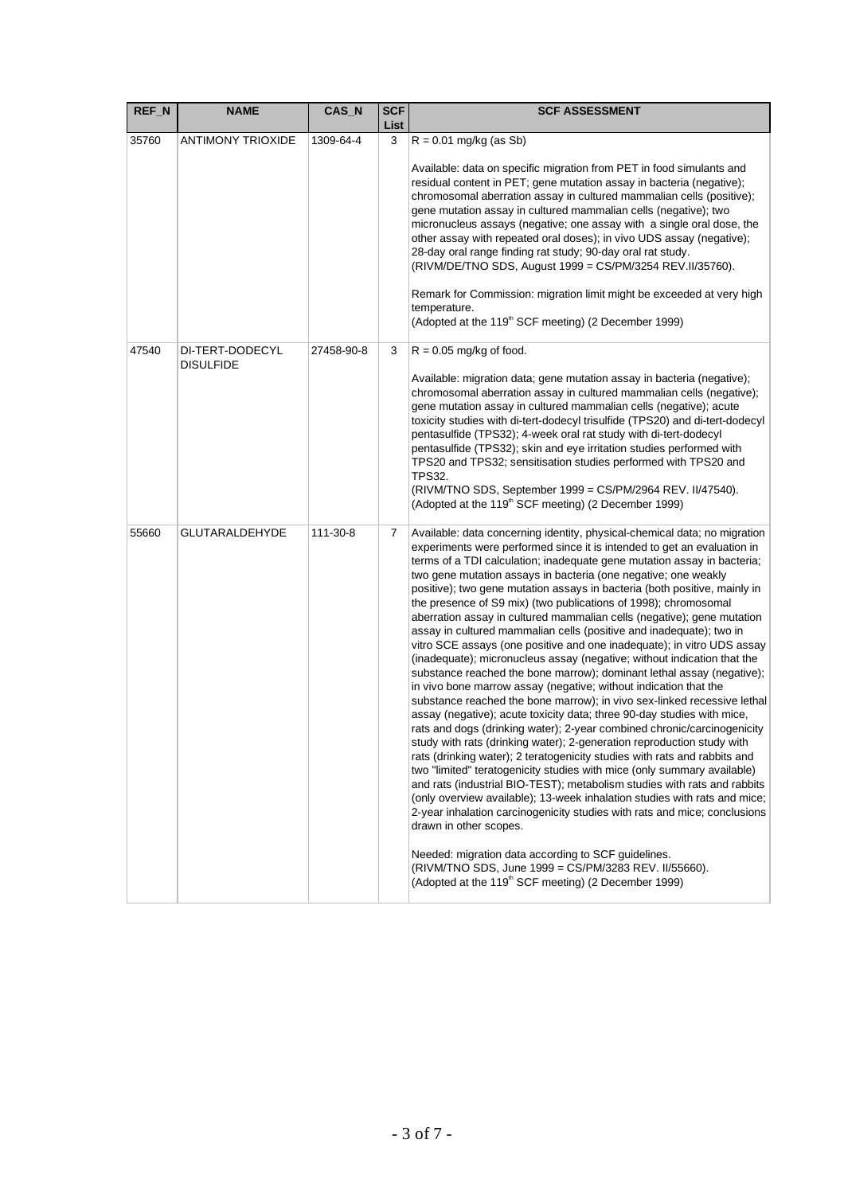| REF_N | <b>NAME</b>              | CAS_N      | <b>SCF</b><br>List | <b>SCF ASSESSMENT</b>                                                                                                                                                                                                                                                                                                                                                                                                                                                                                                                                                                                                                                                                                                                                                                                                                                                                                                                                                                                                                                                                                                                                                                                                                                                                                                                                                                                                                                                                                                                                                                                                                                                                                                                                                                                                      |
|-------|--------------------------|------------|--------------------|----------------------------------------------------------------------------------------------------------------------------------------------------------------------------------------------------------------------------------------------------------------------------------------------------------------------------------------------------------------------------------------------------------------------------------------------------------------------------------------------------------------------------------------------------------------------------------------------------------------------------------------------------------------------------------------------------------------------------------------------------------------------------------------------------------------------------------------------------------------------------------------------------------------------------------------------------------------------------------------------------------------------------------------------------------------------------------------------------------------------------------------------------------------------------------------------------------------------------------------------------------------------------------------------------------------------------------------------------------------------------------------------------------------------------------------------------------------------------------------------------------------------------------------------------------------------------------------------------------------------------------------------------------------------------------------------------------------------------------------------------------------------------------------------------------------------------|
| 35760 | <b>ANTIMONY TRIOXIDE</b> | 1309-64-4  | 3                  | $R = 0.01$ mg/kg (as Sb)<br>Available: data on specific migration from PET in food simulants and<br>residual content in PET; gene mutation assay in bacteria (negative);<br>chromosomal aberration assay in cultured mammalian cells (positive);<br>gene mutation assay in cultured mammalian cells (negative); two<br>micronucleus assays (negative; one assay with a single oral dose, the<br>other assay with repeated oral doses); in vivo UDS assay (negative);<br>28-day oral range finding rat study; 90-day oral rat study.<br>(RIVM/DE/TNO SDS, August 1999 = CS/PM/3254 REV.II/35760).<br>Remark for Commission: migration limit might be exceeded at very high<br>temperature.                                                                                                                                                                                                                                                                                                                                                                                                                                                                                                                                                                                                                                                                                                                                                                                                                                                                                                                                                                                                                                                                                                                                  |
| 47540 | DI-TERT-DODECYL          | 27458-90-8 | 3                  | (Adopted at the 119 <sup>th</sup> SCF meeting) (2 December 1999)<br>$R = 0.05$ mg/kg of food.                                                                                                                                                                                                                                                                                                                                                                                                                                                                                                                                                                                                                                                                                                                                                                                                                                                                                                                                                                                                                                                                                                                                                                                                                                                                                                                                                                                                                                                                                                                                                                                                                                                                                                                              |
|       | <b>DISULFIDE</b>         |            |                    | Available: migration data; gene mutation assay in bacteria (negative);<br>chromosomal aberration assay in cultured mammalian cells (negative);<br>gene mutation assay in cultured mammalian cells (negative); acute<br>toxicity studies with di-tert-dodecyl trisulfide (TPS20) and di-tert-dodecyl<br>pentasulfide (TPS32); 4-week oral rat study with di-tert-dodecyl<br>pentasulfide (TPS32); skin and eye irritation studies performed with<br>TPS20 and TPS32; sensitisation studies performed with TPS20 and<br><b>TPS32.</b><br>(RIVM/TNO SDS, September 1999 = CS/PM/2964 REV. II/47540).<br>(Adopted at the 119 <sup>th</sup> SCF meeting) (2 December 1999)                                                                                                                                                                                                                                                                                                                                                                                                                                                                                                                                                                                                                                                                                                                                                                                                                                                                                                                                                                                                                                                                                                                                                      |
| 55660 | <b>GLUTARALDEHYDE</b>    | 111-30-8   | 7                  | Available: data concerning identity, physical-chemical data; no migration<br>experiments were performed since it is intended to get an evaluation in<br>terms of a TDI calculation; inadequate gene mutation assay in bacteria;<br>two gene mutation assays in bacteria (one negative; one weakly<br>positive); two gene mutation assays in bacteria (both positive, mainly in<br>the presence of S9 mix) (two publications of 1998); chromosomal<br>aberration assay in cultured mammalian cells (negative); gene mutation<br>assay in cultured mammalian cells (positive and inadequate); two in<br>vitro SCE assays (one positive and one inadequate); in vitro UDS assay<br>(inadequate); micronucleus assay (negative; without indication that the<br>substance reached the bone marrow); dominant lethal assay (negative);<br>in vivo bone marrow assay (negative; without indication that the<br>substance reached the bone marrow); in vivo sex-linked recessive lethal<br>assay (negative); acute toxicity data; three 90-day studies with mice,<br>rats and dogs (drinking water); 2-year combined chronic/carcinogenicity<br>study with rats (drinking water); 2-generation reproduction study with<br>rats (drinking water); 2 teratogenicity studies with rats and rabbits and<br>two "limited" teratogenicity studies with mice (only summary available)<br>and rats (industrial BIO-TEST); metabolism studies with rats and rabbits<br>(only overview available); 13-week inhalation studies with rats and mice;<br>2-year inhalation carcinogenicity studies with rats and mice; conclusions<br>drawn in other scopes.<br>Needed: migration data according to SCF guidelines.<br>(RIVM/TNO SDS, June 1999 = CS/PM/3283 REV. II/55660).<br>(Adopted at the 119 <sup>th</sup> SCF meeting) (2 December 1999) |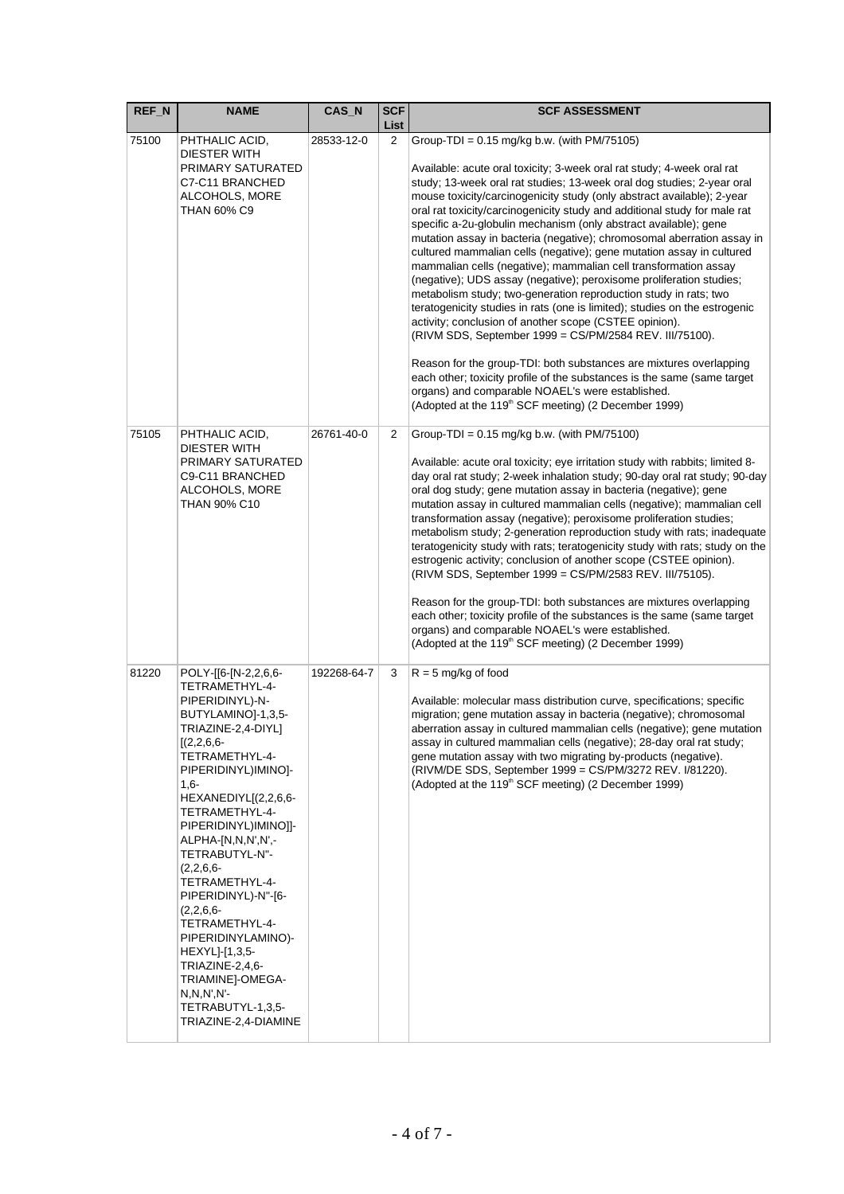| REF_N | <b>NAME</b>                                                                                                                                                                                                                                                                                                                                                                                                                                                                                                                     | CAS_N       | <b>SCF</b><br>List | <b>SCF ASSESSMENT</b>                                                                                                                                                                                                                                                                                                                                                                                                                                                                                                                                                                                                                                                                                                                                                                                                                                                                                                                                                                                                                                                                                                                                                                                                                                                    |
|-------|---------------------------------------------------------------------------------------------------------------------------------------------------------------------------------------------------------------------------------------------------------------------------------------------------------------------------------------------------------------------------------------------------------------------------------------------------------------------------------------------------------------------------------|-------------|--------------------|--------------------------------------------------------------------------------------------------------------------------------------------------------------------------------------------------------------------------------------------------------------------------------------------------------------------------------------------------------------------------------------------------------------------------------------------------------------------------------------------------------------------------------------------------------------------------------------------------------------------------------------------------------------------------------------------------------------------------------------------------------------------------------------------------------------------------------------------------------------------------------------------------------------------------------------------------------------------------------------------------------------------------------------------------------------------------------------------------------------------------------------------------------------------------------------------------------------------------------------------------------------------------|
| 75100 | PHTHALIC ACID,<br>DIESTER WITH<br>PRIMARY SATURATED<br>C7-C11 BRANCHED<br>ALCOHOLS, MORE<br>THAN 60% C9                                                                                                                                                                                                                                                                                                                                                                                                                         | 28533-12-0  | 2                  | Group-TDI = $0.15$ mg/kg b.w. (with PM/75105)<br>Available: acute oral toxicity; 3-week oral rat study; 4-week oral rat<br>study; 13-week oral rat studies; 13-week oral dog studies; 2-year oral<br>mouse toxicity/carcinogenicity study (only abstract available); 2-year<br>oral rat toxicity/carcinogenicity study and additional study for male rat<br>specific a-2u-globulin mechanism (only abstract available); gene<br>mutation assay in bacteria (negative); chromosomal aberration assay in<br>cultured mammalian cells (negative); gene mutation assay in cultured<br>mammalian cells (negative); mammalian cell transformation assay<br>(negative); UDS assay (negative); peroxisome proliferation studies;<br>metabolism study; two-generation reproduction study in rats; two<br>teratogenicity studies in rats (one is limited); studies on the estrogenic<br>activity; conclusion of another scope (CSTEE opinion).<br>(RIVM SDS, September 1999 = CS/PM/2584 REV. III/75100).<br>Reason for the group-TDI: both substances are mixtures overlapping<br>each other; toxicity profile of the substances is the same (same target<br>organs) and comparable NOAEL's were established.<br>(Adopted at the 119 <sup>th</sup> SCF meeting) (2 December 1999) |
| 75105 | PHTHALIC ACID,<br><b>DIESTER WITH</b><br>PRIMARY SATURATED<br>C9-C11 BRANCHED<br>ALCOHOLS, MORE<br>THAN 90% C10                                                                                                                                                                                                                                                                                                                                                                                                                 | 26761-40-0  | 2                  | Group-TDI = $0.15$ mg/kg b.w. (with PM/75100)<br>Available: acute oral toxicity; eye irritation study with rabbits; limited 8-<br>day oral rat study; 2-week inhalation study; 90-day oral rat study; 90-day<br>oral dog study; gene mutation assay in bacteria (negative); gene<br>mutation assay in cultured mammalian cells (negative); mammalian cell<br>transformation assay (negative); peroxisome proliferation studies;<br>metabolism study; 2-generation reproduction study with rats; inadequate<br>teratogenicity study with rats; teratogenicity study with rats; study on the<br>estrogenic activity; conclusion of another scope (CSTEE opinion).<br>(RIVM SDS, September 1999 = CS/PM/2583 REV. III/75105).<br>Reason for the group-TDI: both substances are mixtures overlapping<br>each other; toxicity profile of the substances is the same (same target<br>organs) and comparable NOAEL's were established.<br>(Adopted at the 119 <sup>th</sup> SCF meeting) (2 December 1999)                                                                                                                                                                                                                                                                      |
| 81220 | POLY-[[6-[N-2,2,6,6-<br>TETRAMETHYL-4-<br>PIPERIDINYL)-N-<br>BUTYLAMINO]-1,3,5-<br>TRIAZINE-2,4-DIYL]<br>$[(2,2,6,6-$<br>TETRAMETHYL-4-<br>PIPERIDINYL)IMINO]-<br>$1,6-$<br>$HEXANEDIYL[(2,2,6,6-$<br>TETRAMETHYL-4-<br>PIPERIDINYL)IMINO]]-<br>ALPHA-[N,N,N',N',-<br>TETRABUTYL-N"-<br>$(2,2,6,6-)$<br>TETRAMETHYL-4-<br>PIPERIDINYL)-N"-[6-<br>$(2,2,6,6-)$<br>TETRAMETHYL-4-<br>PIPERIDINYLAMINO)-<br>HEXYL]-[1,3,5-<br>TRIAZINE-2,4,6-<br>TRIAMINE]-OMEGA-<br>$N, N, N', N'$ -<br>TETRABUTYL-1,3,5-<br>TRIAZINE-2,4-DIAMINE | 192268-64-7 | 3                  | $R = 5$ mg/kg of food<br>Available: molecular mass distribution curve, specifications; specific<br>migration; gene mutation assay in bacteria (negative); chromosomal<br>aberration assay in cultured mammalian cells (negative); gene mutation<br>assay in cultured mammalian cells (negative); 28-day oral rat study;<br>gene mutation assay with two migrating by-products (negative).<br>(RIVM/DE SDS, September 1999 = CS/PM/3272 REV, I/81220).<br>(Adopted at the 119 <sup>th</sup> SCF meeting) (2 December 1999)                                                                                                                                                                                                                                                                                                                                                                                                                                                                                                                                                                                                                                                                                                                                                |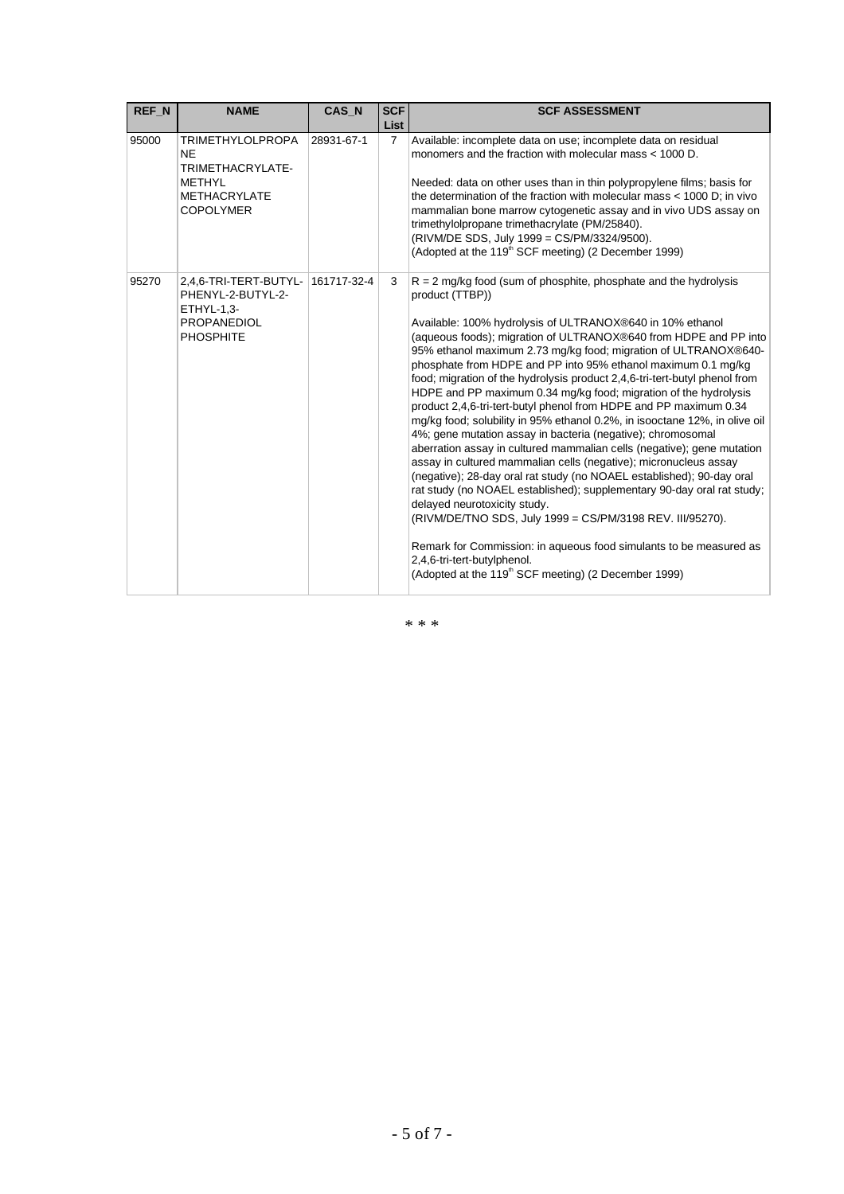| <b>REF N</b> | <b>NAME</b>                                                                                                          | CAS N       | <b>SCF</b><br>List | <b>SCF ASSESSMENT</b>                                                                                                                                                                                                                                                                                                                                                                                                                                                                                                                                                                                                                                                                                                                                                                                                                                                                                                                                                                                                                                                                                                                                                                                                                                                                                 |
|--------------|----------------------------------------------------------------------------------------------------------------------|-------------|--------------------|-------------------------------------------------------------------------------------------------------------------------------------------------------------------------------------------------------------------------------------------------------------------------------------------------------------------------------------------------------------------------------------------------------------------------------------------------------------------------------------------------------------------------------------------------------------------------------------------------------------------------------------------------------------------------------------------------------------------------------------------------------------------------------------------------------------------------------------------------------------------------------------------------------------------------------------------------------------------------------------------------------------------------------------------------------------------------------------------------------------------------------------------------------------------------------------------------------------------------------------------------------------------------------------------------------|
| 95000        | <b>TRIMETHYLOLPROPA</b><br><b>NE</b><br>TRIMETHACRYLATE-<br><b>METHYL</b><br><b>METHACRYLATE</b><br><b>COPOLYMER</b> | 28931-67-1  | $\overline{7}$     | Available: incomplete data on use; incomplete data on residual<br>monomers and the fraction with molecular mass < 1000 D.<br>Needed: data on other uses than in thin polypropylene films; basis for<br>the determination of the fraction with molecular mass $<$ 1000 D; in vivo<br>mammalian bone marrow cytogenetic assay and in vivo UDS assay on<br>trimethylolpropane trimethacrylate (PM/25840).<br>(RIVM/DE SDS, July 1999 = CS/PM/3324/9500).<br>(Adopted at the 119 <sup>th</sup> SCF meeting) (2 December 1999)                                                                                                                                                                                                                                                                                                                                                                                                                                                                                                                                                                                                                                                                                                                                                                             |
| 95270        | 2,4,6-TRI-TERT-BUTYL-<br>PHENYL-2-BUTYL-2-<br>ETHYL-1.3-<br><b>PROPANEDIOL</b><br><b>PHOSPHITE</b>                   | 161717-32-4 | 3                  | $R = 2$ mg/kg food (sum of phosphite, phosphate and the hydrolysis<br>product (TTBP))<br>Available: 100% hydrolysis of ULTRANOX®640 in 10% ethanol<br>(aqueous foods); migration of ULTRANOX®640 from HDPE and PP into<br>95% ethanol maximum 2.73 mg/kg food; migration of ULTRANOX®640-<br>phosphate from HDPE and PP into 95% ethanol maximum 0.1 mg/kg<br>food; migration of the hydrolysis product 2,4,6-tri-tert-butyl phenol from<br>HDPE and PP maximum 0.34 mg/kg food; migration of the hydrolysis<br>product 2,4,6-tri-tert-butyl phenol from HDPE and PP maximum 0.34<br>mg/kg food; solubility in 95% ethanol 0.2%, in isooctane 12%, in olive oil<br>4%; gene mutation assay in bacteria (negative); chromosomal<br>aberration assay in cultured mammalian cells (negative); gene mutation<br>assay in cultured mammalian cells (negative); micronucleus assay<br>(negative); 28-day oral rat study (no NOAEL established); 90-day oral<br>rat study (no NOAEL established); supplementary 90-day oral rat study;<br>delayed neurotoxicity study.<br>(RIVM/DE/TNO SDS, July 1999 = CS/PM/3198 REV. III/95270).<br>Remark for Commission: in aqueous food simulants to be measured as<br>2,4,6-tri-tert-butylphenol.<br>(Adopted at the 119 <sup>th</sup> SCF meeting) (2 December 1999) |

\*\*\*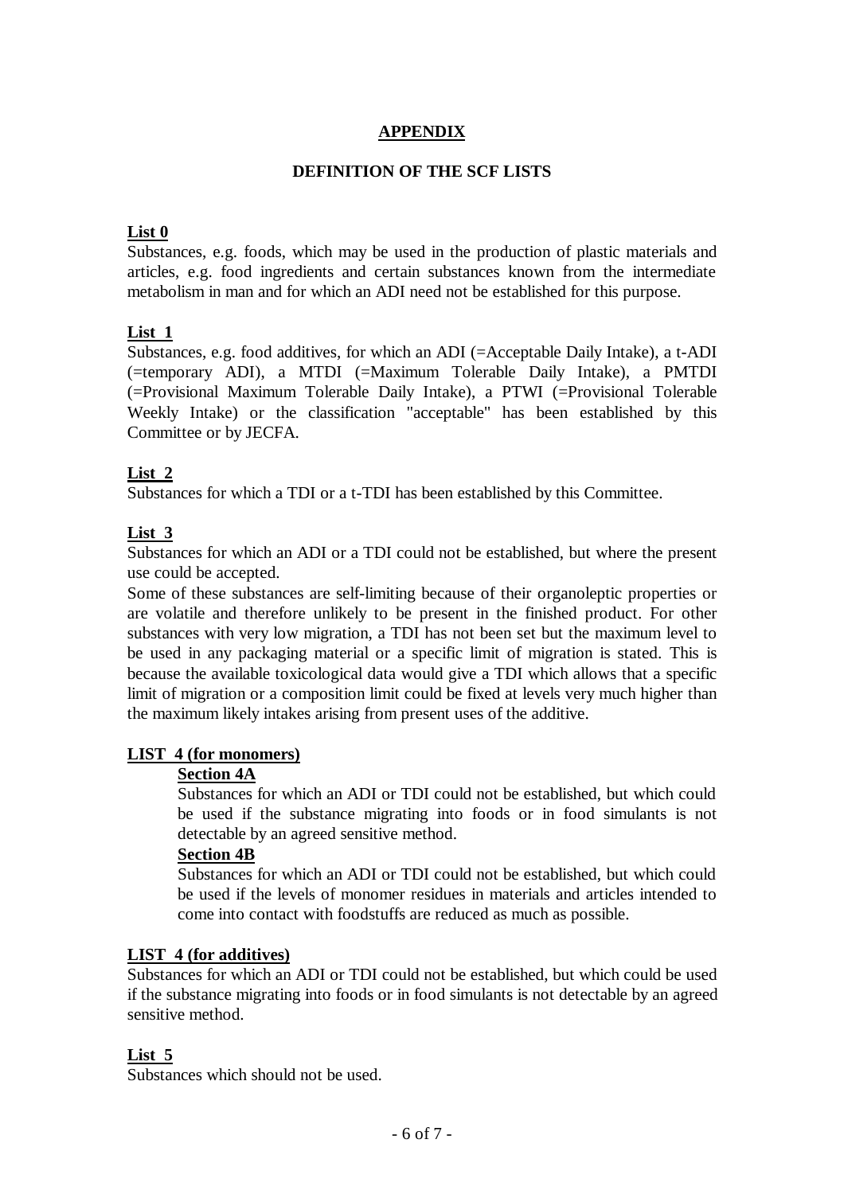## **APPENDIX**

### **DEFINITION OF THE SCF LISTS**

### **List 0**

Substances, e.g. foods, which may be used in the production of plastic materials and articles, e.g. food ingredients and certain substances known from the intermediate metabolism in man and for which an ADI need not be established for this purpose.

### **List 1**

Substances, e.g. food additives, for which an ADI (=Acceptable Daily Intake), a t-ADI (=temporary ADI), a MTDI (=Maximum Tolerable Daily Intake), a PMTDI (=Provisional Maximum Tolerable Daily Intake), a PTWI (=Provisional Tolerable Weekly Intake) or the classification "acceptable" has been established by this Committee or by JECFA.

## **List 2**

Substances for which a TDI or a t-TDI has been established by this Committee.

## **List 3**

Substances for which an ADI or a TDI could not be established, but where the present use could be accepted.

Some of these substances are self-limiting because of their organoleptic properties or are volatile and therefore unlikely to be present in the finished product. For other substances with very low migration, a TDI has not been set but the maximum level to be used in any packaging material or a specific limit of migration is stated. This is because the available toxicological data would give a TDI which allows that a specific limit of migration or a composition limit could be fixed at levels very much higher than the maximum likely intakes arising from present uses of the additive.

## **LIST 4 (for monomers)**

### **Section 4A**

Substances for which an ADI or TDI could not be established, but which could be used if the substance migrating into foods or in food simulants is not detectable by an agreed sensitive method.

### **Section 4B**

Substances for which an ADI or TDI could not be established, but which could be used if the levels of monomer residues in materials and articles intended to come into contact with foodstuffs are reduced as much as possible.

## **LIST 4 (for additives)**

Substances for which an ADI or TDI could not be established, but which could be used if the substance migrating into foods or in food simulants is not detectable by an agreed sensitive method.

## **List 5**

Substances which should not be used.